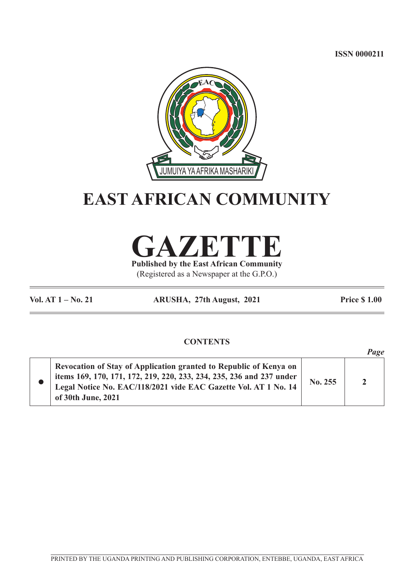**ISSN 0000211**



## **EAST AFRICAN COMMUNITY**



**Published by the East African Community** (Registered as a Newspaper at the G.P.O.)

**Vol. AT 1 – No. 21 ARUSHA, 27th August, 2021 Price \$ 1.00**

 $P_{max}$ 

## **CONTENTS**

|                                                                                                                                                                                                                                    |         | ruge           |
|------------------------------------------------------------------------------------------------------------------------------------------------------------------------------------------------------------------------------------|---------|----------------|
| Revocation of Stay of Application granted to Republic of Kenya on<br>items 169, 170, 171, 172, 219, 220, 233, 234, 235, 236 and 237 under<br>Legal Notice No. EAC/118/2021 vide EAC Gazette Vol. AT 1 No. 14<br>of 30th June, 2021 | No. 255 | $\overline{2}$ |